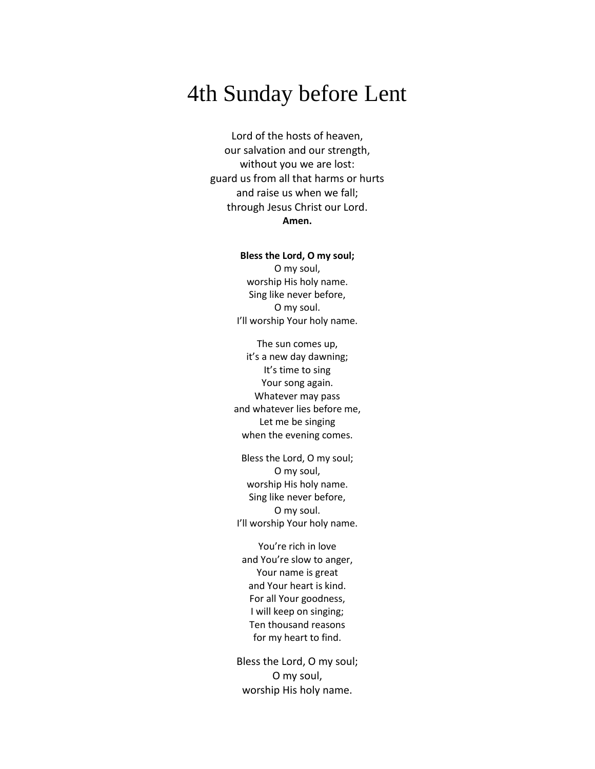# 4th Sunday before Lent

Lord of the hosts of heaven, our salvation and our strength, without you we are lost: guard us from all that harms or hurts and raise us when we fall; through Jesus Christ our Lord. **Amen.**

#### **Bless the Lord, O my soul;**

O my soul, worship His holy name. Sing like never before, O my soul. I'll worship Your holy name.

The sun comes up, it's a new day dawning; It's time to sing Your song again. Whatever may pass and whatever lies before me, Let me be singing when the evening comes.

Bless the Lord, O my soul; O my soul, worship His holy name. Sing like never before, O my soul. I'll worship Your holy name.

You're rich in love and You're slow to anger, Your name is great and Your heart is kind. For all Your goodness, I will keep on singing; Ten thousand reasons for my heart to find.

Bless the Lord, O my soul; O my soul, worship His holy name.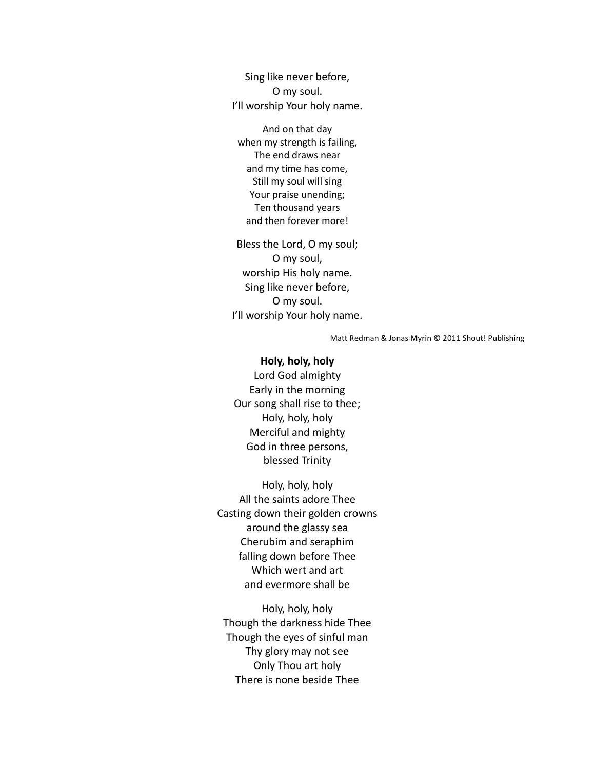Sing like never before, O my soul. I'll worship Your holy name.

And on that day when my strength is failing, The end draws near and my time has come, Still my soul will sing Your praise unending; Ten thousand years and then forever more!

Bless the Lord, O my soul; O my soul, worship His holy name. Sing like never before, O my soul. I'll worship Your holy name.

Matt Redman & Jonas Myrin © 2011 Shout! Publishing

#### **Holy, holy, holy**

Lord God almighty Early in the morning Our song shall rise to thee; Holy, holy, holy Merciful and mighty God in three persons, blessed Trinity

Holy, holy, holy All the saints adore Thee Casting down their golden crowns around the glassy sea Cherubim and seraphim falling down before Thee Which wert and art and evermore shall be

Holy, holy, holy Though the darkness hide Thee Though the eyes of sinful man Thy glory may not see Only Thou art holy There is none beside Thee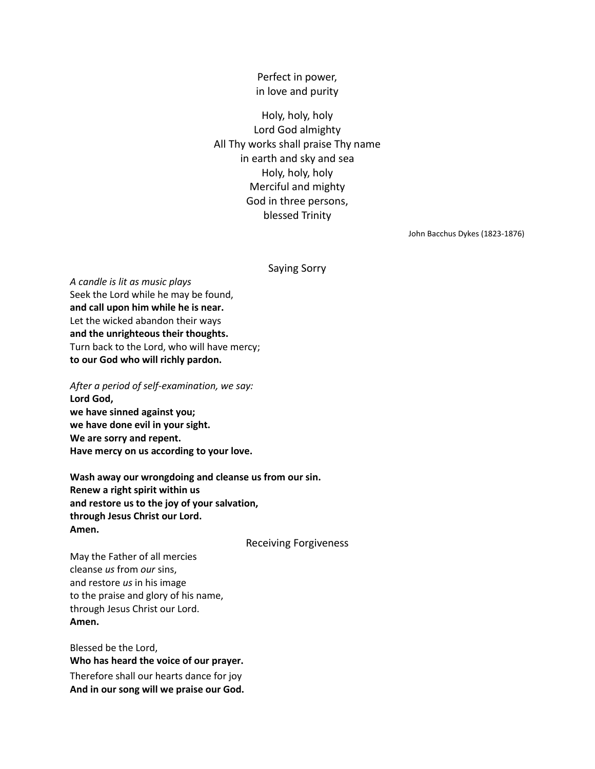Perfect in power, in love and purity

Holy, holy, holy Lord God almighty All Thy works shall praise Thy name in earth and sky and sea Holy, holy, holy Merciful and mighty God in three persons, blessed Trinity

John Bacchus Dykes (1823-1876)

Saying Sorry

*A candle is lit as music plays* Seek the Lord while he may be found, **and call upon him while he is near.** Let the wicked abandon their ways **and the unrighteous their thoughts.** Turn back to the Lord, who will have mercy; **to our God who will richly pardon.**

*After a period of self-examination, we say:* **Lord God, we have sinned against you; we have done evil in your sight. We are sorry and repent. Have mercy on us according to your love.**

**Wash away our wrongdoing and cleanse us from our sin. Renew a right spirit within us and restore us to the joy of your salvation, through Jesus Christ our Lord. Amen.**

Receiving Forgiveness

May the Father of all mercies cleanse *us* from *our* sins, and restore *us* in his image to the praise and glory of his name, through Jesus Christ our Lord. **Amen.**

Blessed be the Lord, **Who has heard the voice of our prayer.** Therefore shall our hearts dance for joy **And in our song will we praise our God.**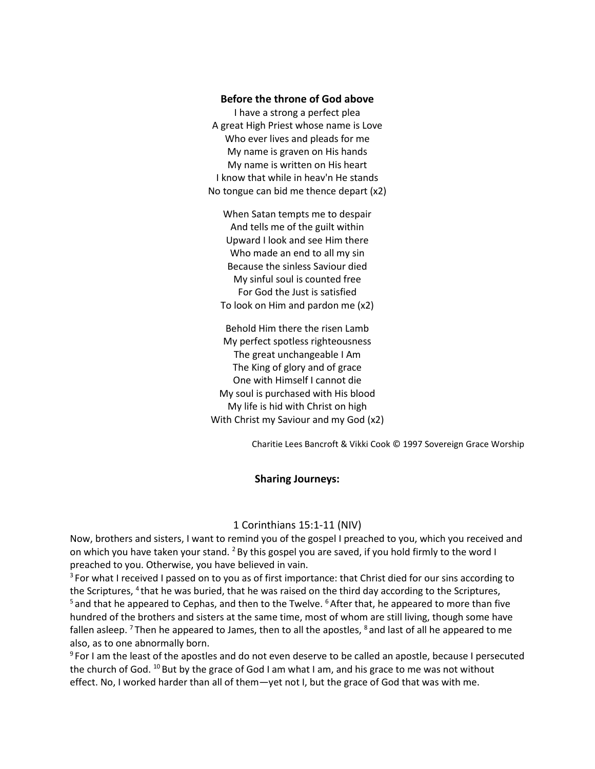## **Before the throne of God above**

I have a strong a perfect plea A great High Priest whose name is Love Who ever lives and pleads for me My name is graven on His hands My name is written on His heart I know that while in heav'n He stands No tongue can bid me thence depart (x2)

When Satan tempts me to despair And tells me of the guilt within Upward I look and see Him there Who made an end to all my sin Because the sinless Saviour died My sinful soul is counted free For God the Just is satisfied To look on Him and pardon me (x2)

Behold Him there the risen Lamb My perfect spotless righteousness The great unchangeable I Am The King of glory and of grace One with Himself I cannot die My soul is purchased with His blood My life is hid with Christ on high With Christ my Saviour and my God (x2)

Charitie Lees Bancroft & Vikki Cook © 1997 Sovereign Grace Worship

## **Sharing Journeys:**

## 1 Corinthians 15:1-11 (NIV)

Now, brothers and sisters, I want to remind you of the gospel I preached to you, which you received and on which you have taken your stand. <sup>2</sup> By this gospel you are saved, if you hold firmly to the word I preached to you. Otherwise, you have believed in vain.

 $3$  For what I received I passed on to you as of first importance: that Christ died for our sins according to the Scriptures, <sup>4</sup> that he was buried, that he was raised on the third day according to the Scriptures,  $5$  and that he appeared to Cephas, and then to the Twelve.  $6$  After that, he appeared to more than five hundred of the brothers and sisters at the same time, most of whom are still living, though some have fallen asleep.<sup>7</sup> Then he appeared to James, then to all the apostles, <sup>8</sup> and last of all he appeared to me also, as to one abnormally born.

<sup>9</sup> For I am the least of the apostles and do not even deserve to be called an apostle, because I persecuted the church of God. <sup>10</sup> But by the grace of God I am what I am, and his grace to me was not without effect. No, I worked harder than all of them—yet not I, but the grace of God that was with me.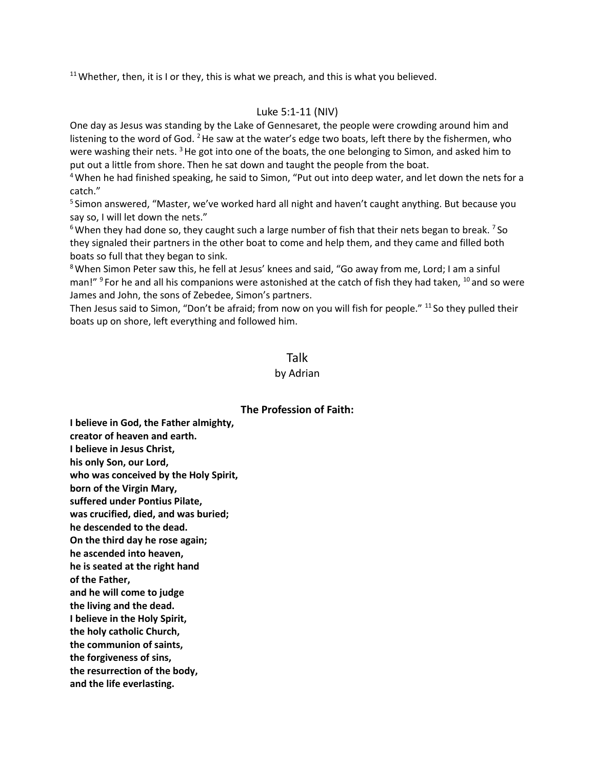$11$  Whether, then, it is I or they, this is what we preach, and this is what you believed.

# Luke 5:1-11 (NIV)

One day as Jesus was standing by the Lake of Gennesaret, the people were crowding around him and listening to the word of God. <sup>2</sup> He saw at the water's edge two boats, left there by the fishermen, who were washing their nets.  $3$  He got into one of the boats, the one belonging to Simon, and asked him to put out a little from shore. Then he sat down and taught the people from the boat.

<sup>4</sup>When he had finished speaking, he said to Simon, "Put out into deep water, and let down the nets for a catch."

<sup>5</sup> Simon answered, "Master, we've worked hard all night and haven't caught anything. But because you say so, I will let down the nets."

 $6$ When they had done so, they caught such a large number of fish that their nets began to break.  $7$  So they signaled their partners in the other boat to come and help them, and they came and filled both boats so full that they began to sink.

<sup>8</sup>When Simon Peter saw this, he fell at Jesus' knees and said, "Go away from me, Lord; I am a sinful man!" <sup>9</sup> For he and all his companions were astonished at the catch of fish they had taken, <sup>10</sup> and so were James and John, the sons of Zebedee, Simon's partners.

Then Jesus said to Simon, "Don't be afraid; from now on you will fish for people." <sup>11</sup> So they pulled their boats up on shore, left everything and followed him.

# Talk

## by Adrian

# **The Profession of Faith:**

**I believe in God, the Father almighty, creator of heaven and earth. I believe in Jesus Christ, his only Son, our Lord, who was conceived by the Holy Spirit, born of the Virgin Mary, suffered under Pontius Pilate, was crucified, died, and was buried; he descended to the dead. On the third day he rose again; he ascended into heaven, he is seated at the right hand of the Father, and he will come to judge the living and the dead. I believe in the Holy Spirit, the holy catholic Church, the communion of saints, the forgiveness of sins, the resurrection of the body, and the life everlasting.**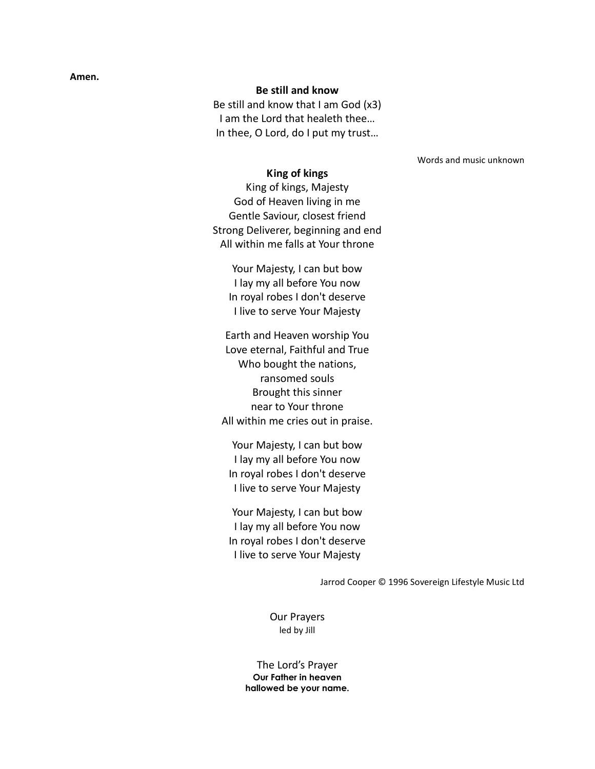#### **Amen.**

## **Be still and know**

Be still and know that I am God (x3) I am the Lord that healeth thee… In thee, O Lord, do I put my trust…

Words and music unknown

# **King of kings**

King of kings, Majesty God of Heaven living in me Gentle Saviour, closest friend Strong Deliverer, beginning and end All within me falls at Your throne

Your Majesty, I can but bow I lay my all before You now In royal robes I don't deserve I live to serve Your Majesty

Earth and Heaven worship You Love eternal, Faithful and True Who bought the nations, ransomed souls Brought this sinner near to Your throne All within me cries out in praise.

Your Majesty, I can but bow I lay my all before You now In royal robes I don't deserve I live to serve Your Majesty

Your Majesty, I can but bow I lay my all before You now In royal robes I don't deserve I live to serve Your Majesty

Jarrod Cooper © 1996 Sovereign Lifestyle Music Ltd

Our Prayers led by Jill

The Lord's Prayer **Our Father in heaven hallowed be your name.**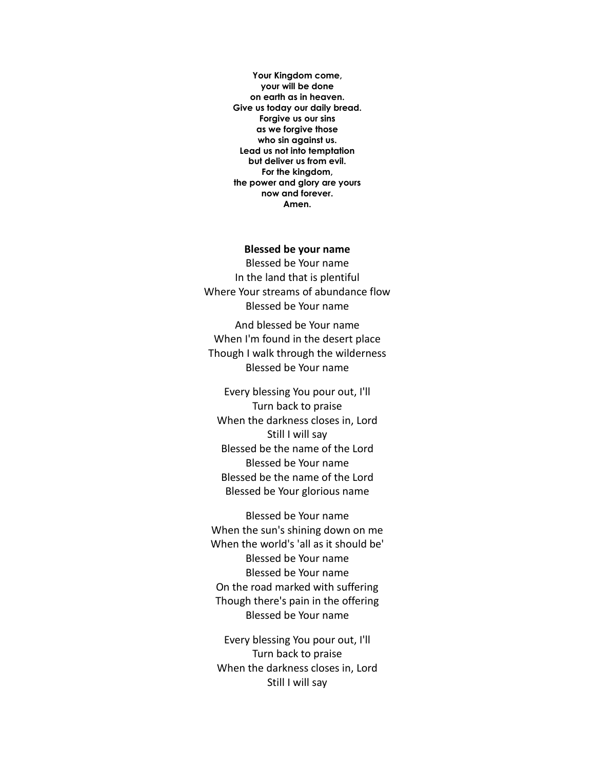**Your Kingdom come, your will be done on earth as in heaven. Give us today our daily bread. Forgive us our sins as we forgive those who sin against us. Lead us not into temptation but deliver us from evil. For the kingdom, the power and glory are yours now and forever. Amen.** 

#### **Blessed be your name**

Blessed be Your name In the land that is plentiful Where Your streams of abundance flow Blessed be Your name

And blessed be Your name When I'm found in the desert place Though I walk through the wilderness Blessed be Your name

Every blessing You pour out, I'll Turn back to praise When the darkness closes in, Lord Still I will say Blessed be the name of the Lord Blessed be Your name Blessed be the name of the Lord Blessed be Your glorious name

Blessed be Your name When the sun's shining down on me When the world's 'all as it should be' Blessed be Your name Blessed be Your name On the road marked with suffering Though there's pain in the offering Blessed be Your name

Every blessing You pour out, I'll Turn back to praise When the darkness closes in, Lord Still I will say